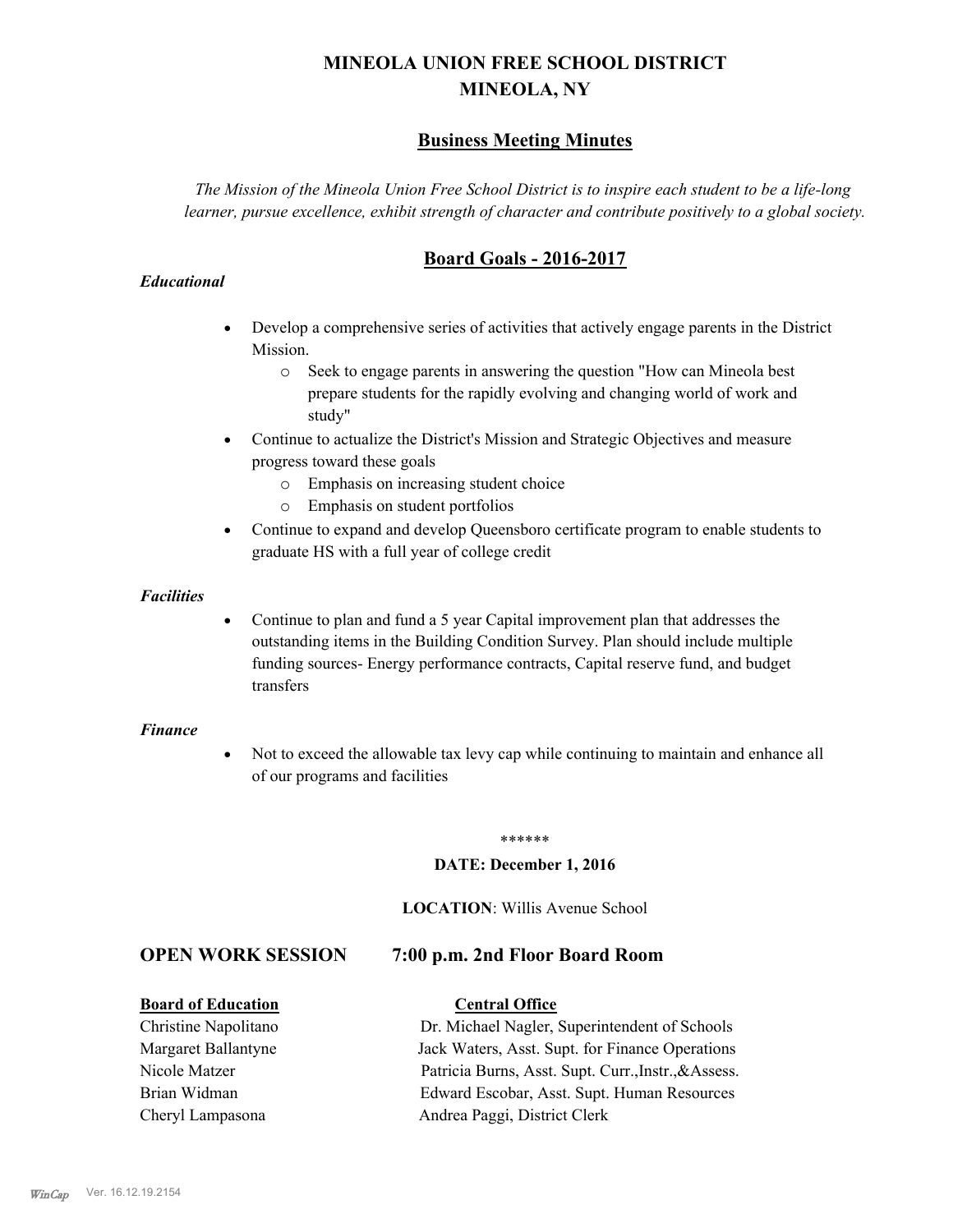# **MINEOLA UNION FREE SCHOOL DISTRICT MINEOLA, NY**

# **Business Meeting Minutes**

*The Mission of the Mineola Union Free School District is to inspire each student to be a life-long learner, pursue excellence, exhibit strength of character and contribute positively to a global society.*

# **Board Goals - 2016-2017**

## *Educational*

- · Develop a comprehensive series of activities that actively engage parents in the District Mission.
	- o Seek to engage parents in answering the question "How can Mineola best prepare students for the rapidly evolving and changing world of work and study"
- · Continue to actualize the District's Mission and Strategic Objectives and measure progress toward these goals
	- o Emphasis on increasing student choice
	- o Emphasis on student portfolios
- · Continue to expand and develop Queensboro certificate program to enable students to graduate HS with a full year of college credit

#### *Facilities*

· Continue to plan and fund a 5 year Capital improvement plan that addresses the outstanding items in the Building Condition Survey. Plan should include multiple funding sources- Energy performance contracts, Capital reserve fund, and budget transfers

## *Finance*

• Not to exceed the allowable tax levy cap while continuing to maintain and enhance all of our programs and facilities

#### \*\*\*\*\*\*

## **DATE: December 1, 2016**

#### **LOCATION**: Willis Avenue School

# **OPEN WORK SESSION 7:00 p.m. 2nd Floor Board Room**

#### **Board of Education Central Office**

Christine Napolitano Dr. Michael Nagler, Superintendent of Schools Margaret Ballantyne Jack Waters, Asst. Supt. for Finance Operations Nicole Matzer Patricia Burns, Asst. Supt. Curr.,Instr.,&Assess. Brian Widman Edward Escobar, Asst. Supt. Human Resources Cheryl Lampasona Andrea Paggi, District Clerk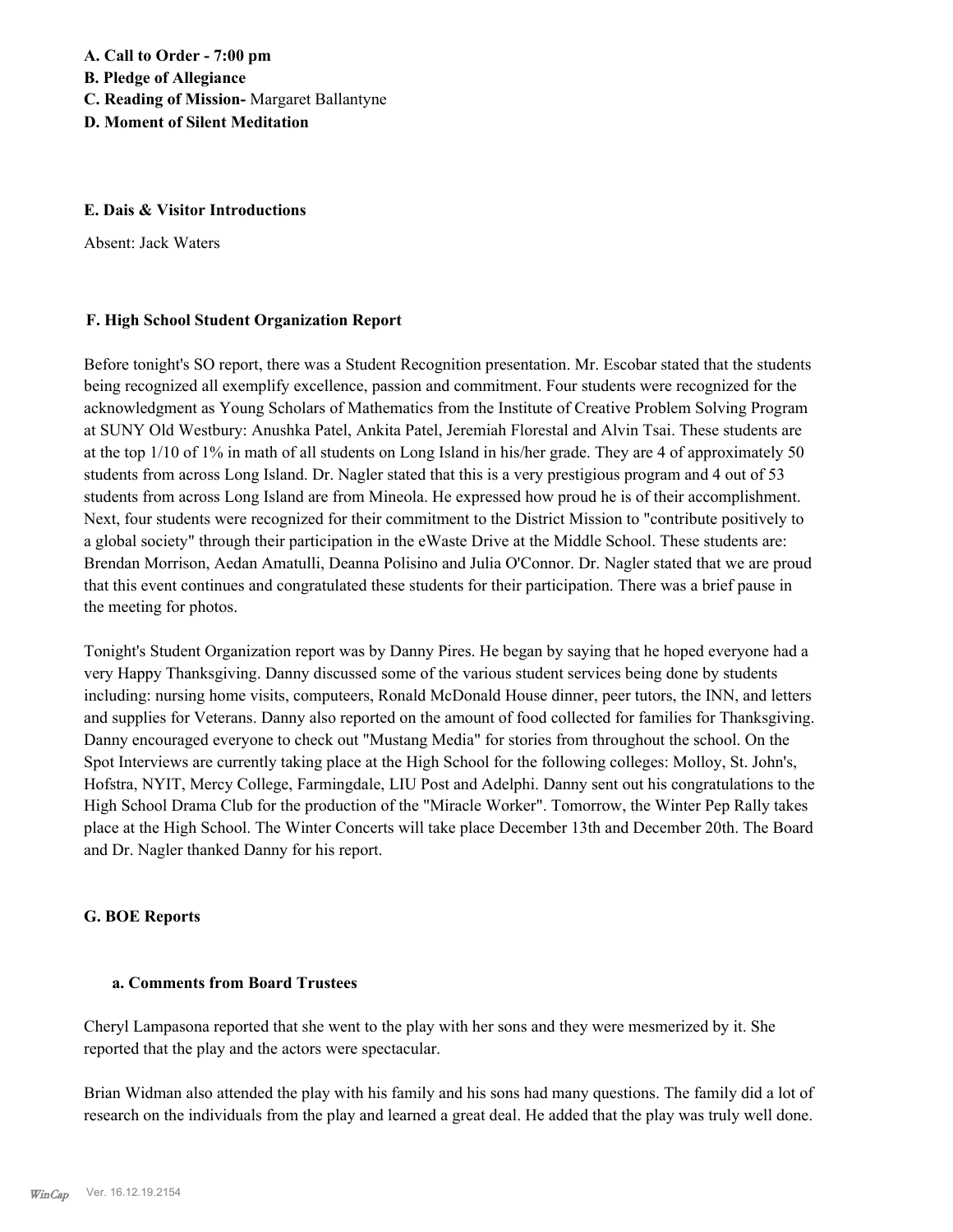**A. Call to Order - 7:00 pm B. Pledge of Allegiance C. Reading of Mission-** Margaret Ballantyne **D. Moment of Silent Meditation**

#### **E. Dais & Visitor Introductions**

Absent: Jack Waters

#### **F. High School Student Organization Report**

Before tonight's SO report, there was a Student Recognition presentation. Mr. Escobar stated that the students being recognized all exemplify excellence, passion and commitment. Four students were recognized for the acknowledgment as Young Scholars of Mathematics from the Institute of Creative Problem Solving Program at SUNY Old Westbury: Anushka Patel, Ankita Patel, Jeremiah Florestal and Alvin Tsai. These students are at the top 1/10 of 1% in math of all students on Long Island in his/her grade. They are 4 of approximately 50 students from across Long Island. Dr. Nagler stated that this is a very prestigious program and 4 out of 53 students from across Long Island are from Mineola. He expressed how proud he is of their accomplishment. Next, four students were recognized for their commitment to the District Mission to "contribute positively to a global society" through their participation in the eWaste Drive at the Middle School. These students are: Brendan Morrison, Aedan Amatulli, Deanna Polisino and Julia O'Connor. Dr. Nagler stated that we are proud that this event continues and congratulated these students for their participation. There was a brief pause in the meeting for photos.

Tonight's Student Organization report was by Danny Pires. He began by saying that he hoped everyone had a very Happy Thanksgiving. Danny discussed some of the various student services being done by students including: nursing home visits, computeers, Ronald McDonald House dinner, peer tutors, the INN, and letters and supplies for Veterans. Danny also reported on the amount of food collected for families for Thanksgiving. Danny encouraged everyone to check out "Mustang Media" for stories from throughout the school. On the Spot Interviews are currently taking place at the High School for the following colleges: Molloy, St. John's, Hofstra, NYIT, Mercy College, Farmingdale, LIU Post and Adelphi. Danny sent out his congratulations to the High School Drama Club for the production of the "Miracle Worker". Tomorrow, the Winter Pep Rally takes place at the High School. The Winter Concerts will take place December 13th and December 20th. The Board and Dr. Nagler thanked Danny for his report.

#### **G. BOE Reports**

#### **a. Comments from Board Trustees**

Cheryl Lampasona reported that she went to the play with her sons and they were mesmerized by it. She reported that the play and the actors were spectacular.

Brian Widman also attended the play with his family and his sons had many questions. The family did a lot of research on the individuals from the play and learned a great deal. He added that the play was truly well done.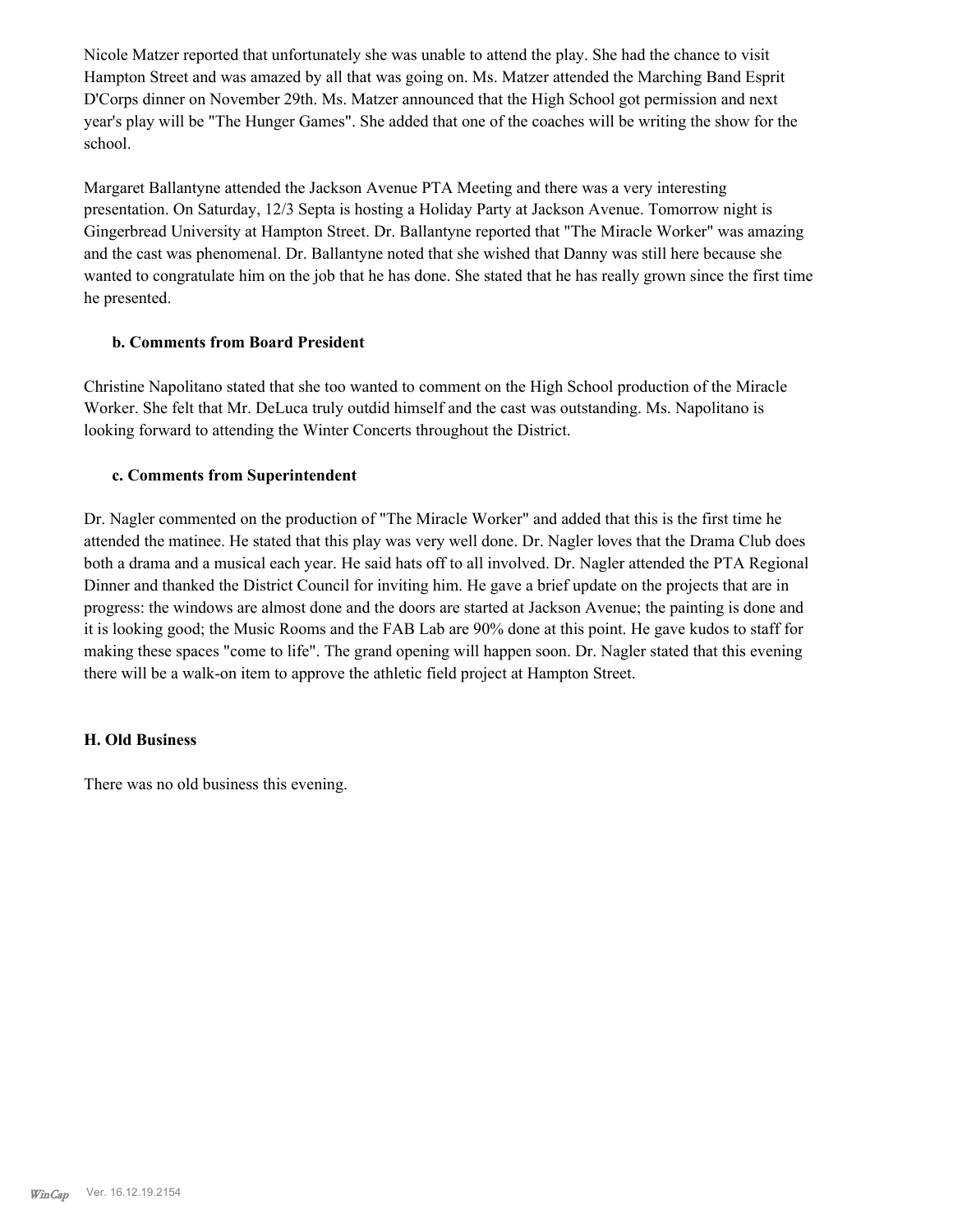Nicole Matzer reported that unfortunately she was unable to attend the play. She had the chance to visit Hampton Street and was amazed by all that was going on. Ms. Matzer attended the Marching Band Esprit D'Corps dinner on November 29th. Ms. Matzer announced that the High School got permission and next year's play will be "The Hunger Games". She added that one of the coaches will be writing the show for the school.

Margaret Ballantyne attended the Jackson Avenue PTA Meeting and there was a very interesting presentation. On Saturday, 12/3 Septa is hosting a Holiday Party at Jackson Avenue. Tomorrow night is Gingerbread University at Hampton Street. Dr. Ballantyne reported that "The Miracle Worker" was amazing and the cast was phenomenal. Dr. Ballantyne noted that she wished that Danny was still here because she wanted to congratulate him on the job that he has done. She stated that he has really grown since the first time he presented.

# **b. Comments from Board President**

Christine Napolitano stated that she too wanted to comment on the High School production of the Miracle Worker. She felt that Mr. DeLuca truly outdid himself and the cast was outstanding. Ms. Napolitano is looking forward to attending the Winter Concerts throughout the District.

#### **c. Comments from Superintendent**

Dr. Nagler commented on the production of "The Miracle Worker" and added that this is the first time he attended the matinee. He stated that this play was very well done. Dr. Nagler loves that the Drama Club does both a drama and a musical each year. He said hats off to all involved. Dr. Nagler attended the PTA Regional Dinner and thanked the District Council for inviting him. He gave a brief update on the projects that are in progress: the windows are almost done and the doors are started at Jackson Avenue; the painting is done and it is looking good; the Music Rooms and the FAB Lab are 90% done at this point. He gave kudos to staff for making these spaces "come to life". The grand opening will happen soon. Dr. Nagler stated that this evening there will be a walk-on item to approve the athletic field project at Hampton Street.

# **H. Old Business**

There was no old business this evening.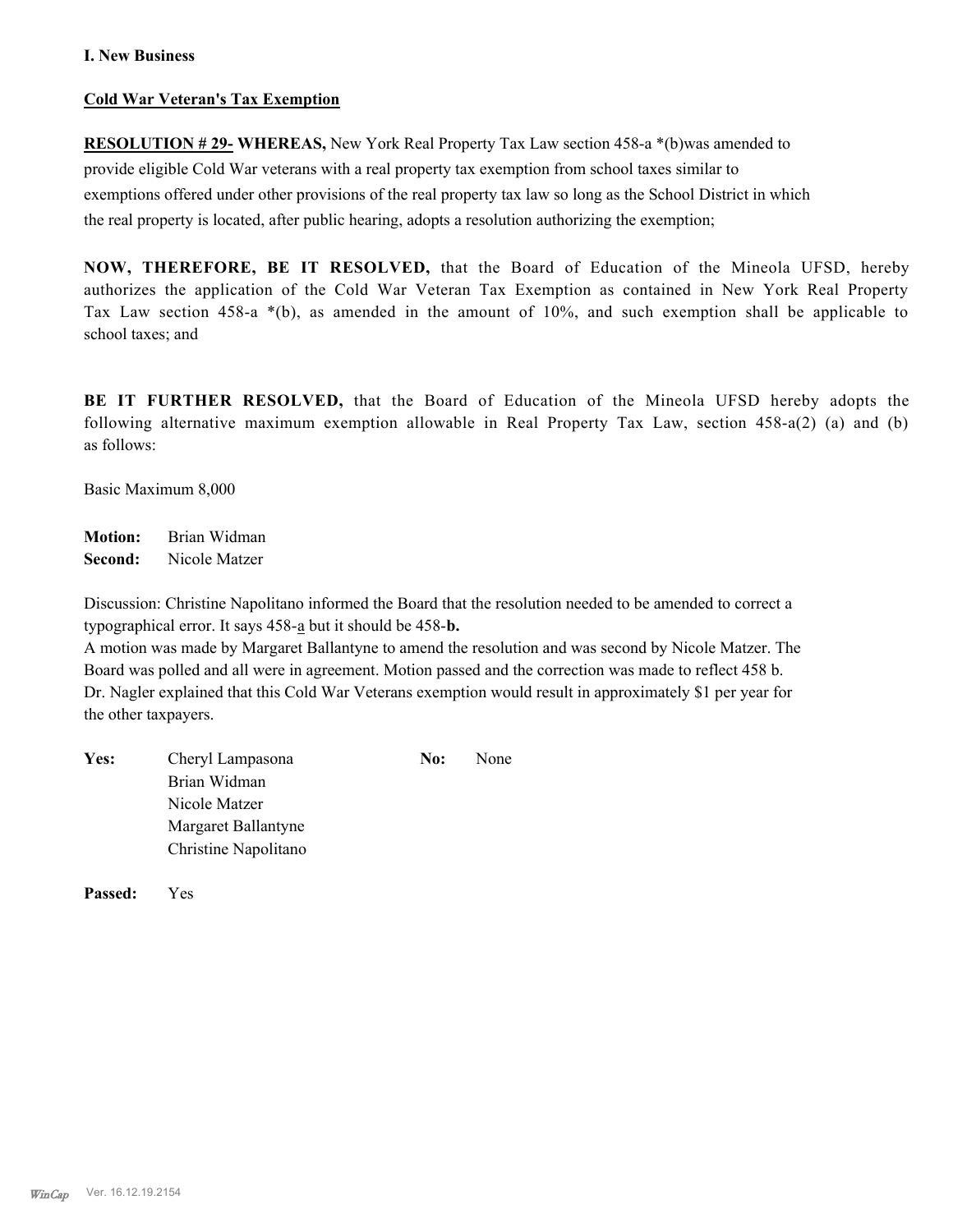## **I. New Business**

## **Cold War Veteran's Tax Exemption**

**RESOLUTION # 29- WHEREAS,** New York Real Property Tax Law section 458-a \*(b)was amended to provide eligible Cold War veterans with a real property tax exemption from school taxes similar to exemptions offered under other provisions of the real property tax law so long as the School District in which the real property is located, after public hearing, adopts a resolution authorizing the exemption;

**NOW, THEREFORE, BE IT RESOLVED,** that the Board of Education of the Mineola UFSD, hereby authorizes the application of the Cold War Veteran Tax Exemption as contained in New York Real Property Tax Law section 458-a \*(b), as amended in the amount of 10%, and such exemption shall be applicable to school taxes; and

**BE IT FURTHER RESOLVED,** that the Board of Education of the Mineola UFSD hereby adopts the following alternative maximum exemption allowable in Real Property Tax Law, section 458-a(2) (a) and (b) as follows:

Basic Maximum 8,000

**Motion:** Brian Widman **Second:** Nicole Matzer

Discussion: Christine Napolitano informed the Board that the resolution needed to be amended to correct a typographical error. It says 458-a but it should be 458-**b.**

A motion was made by Margaret Ballantyne to amend the resolution and was second by Nicole Matzer. The Board was polled and all were in agreement. Motion passed and the correction was made to reflect 458 b. Dr. Nagler explained that this Cold War Veterans exemption would result in approximately \$1 per year for the other taxpayers.

| Yes: | Cheryl Lampasona     | No: | None |
|------|----------------------|-----|------|
|      | Brian Widman         |     |      |
|      | Nicole Matzer        |     |      |
|      | Margaret Ballantyne  |     |      |
|      | Christine Napolitano |     |      |

**Passed:** Yes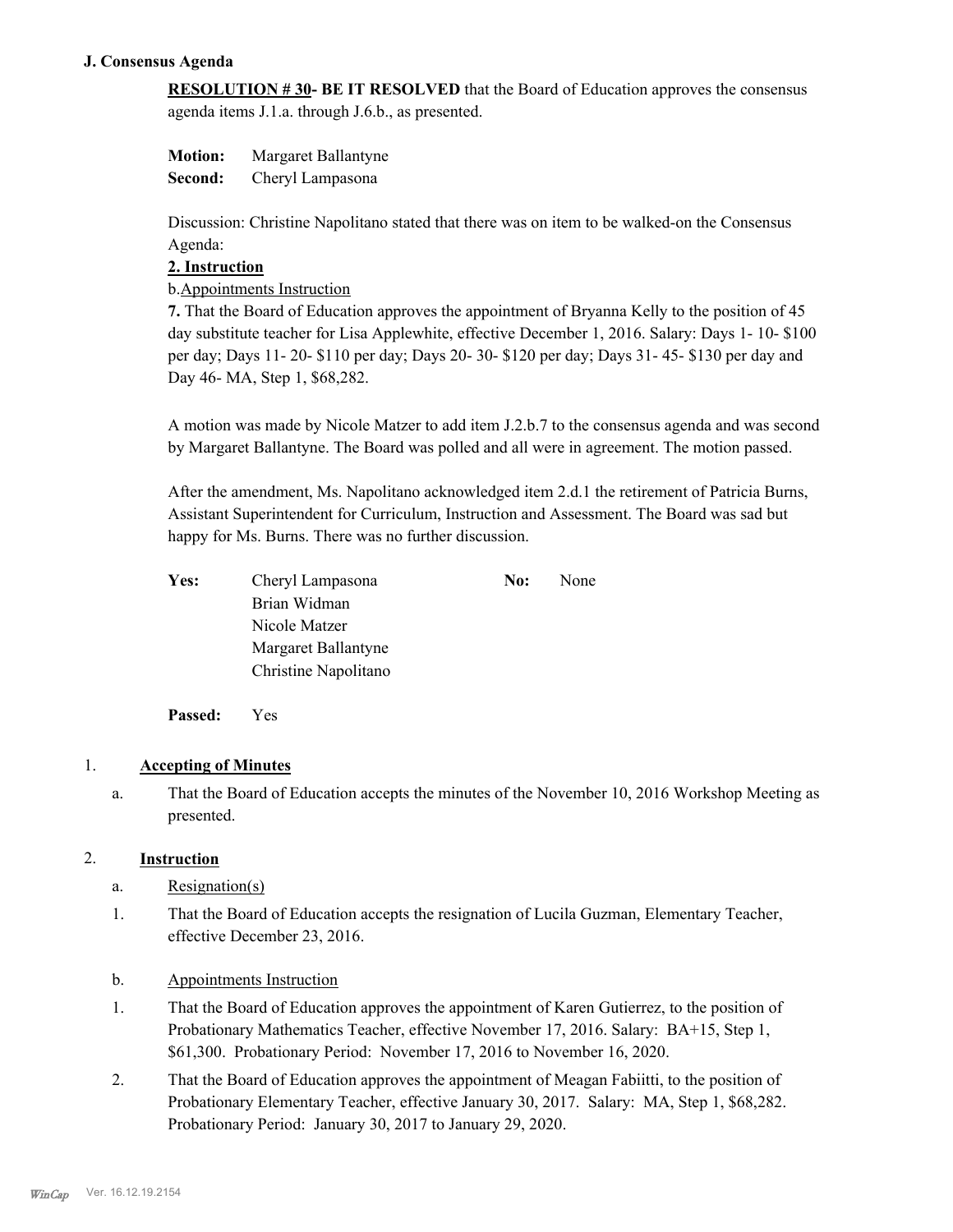# **J. Consensus Agenda**

**RESOLUTION # 30- BE IT RESOLVED** that the Board of Education approves the consensus agenda items J.1.a. through J.6.b., as presented.

**Motion:** Margaret Ballantyne

**Second:** Cheryl Lampasona

Discussion: Christine Napolitano stated that there was on item to be walked-on the Consensus Agenda:

# **2. Instruction**

b.Appointments Instruction

**7.** That the Board of Education approves the appointment of Bryanna Kelly to the position of 45 day substitute teacher for Lisa Applewhite, effective December 1, 2016. Salary: Days 1- 10- \$100 per day; Days 11- 20- \$110 per day; Days 20- 30- \$120 per day; Days 31- 45- \$130 per day and Day 46- MA, Step 1, \$68,282.

A motion was made by Nicole Matzer to add item J.2.b.7 to the consensus agenda and was second by Margaret Ballantyne. The Board was polled and all were in agreement. The motion passed.

After the amendment, Ms. Napolitano acknowledged item 2.d.1 the retirement of Patricia Burns, Assistant Superintendent for Curriculum, Instruction and Assessment. The Board was sad but happy for Ms. Burns. There was no further discussion.

| Yes: | Cheryl Lampasona     | No: | None |
|------|----------------------|-----|------|
|      | Brian Widman         |     |      |
|      | Nicole Matzer        |     |      |
|      | Margaret Ballantyne  |     |      |
|      | Christine Napolitano |     |      |
|      |                      |     |      |

**Passed:** Yes

# 1. **Accepting of Minutes**

That the Board of Education accepts the minutes of the November 10, 2016 Workshop Meeting as presented. a.

# 2. **Instruction**

- a. Resignation(s)
- That the Board of Education accepts the resignation of Lucila Guzman, Elementary Teacher, effective December 23, 2016. 1.
- b. Appointments Instruction
- That the Board of Education approves the appointment of Karen Gutierrez, to the position of Probationary Mathematics Teacher, effective November 17, 2016. Salary: BA+15, Step 1, \$61,300. Probationary Period: November 17, 2016 to November 16, 2020. 1.
- That the Board of Education approves the appointment of Meagan Fabiitti, to the position of Probationary Elementary Teacher, effective January 30, 2017. Salary: MA, Step 1, \$68,282. Probationary Period: January 30, 2017 to January 29, 2020. 2.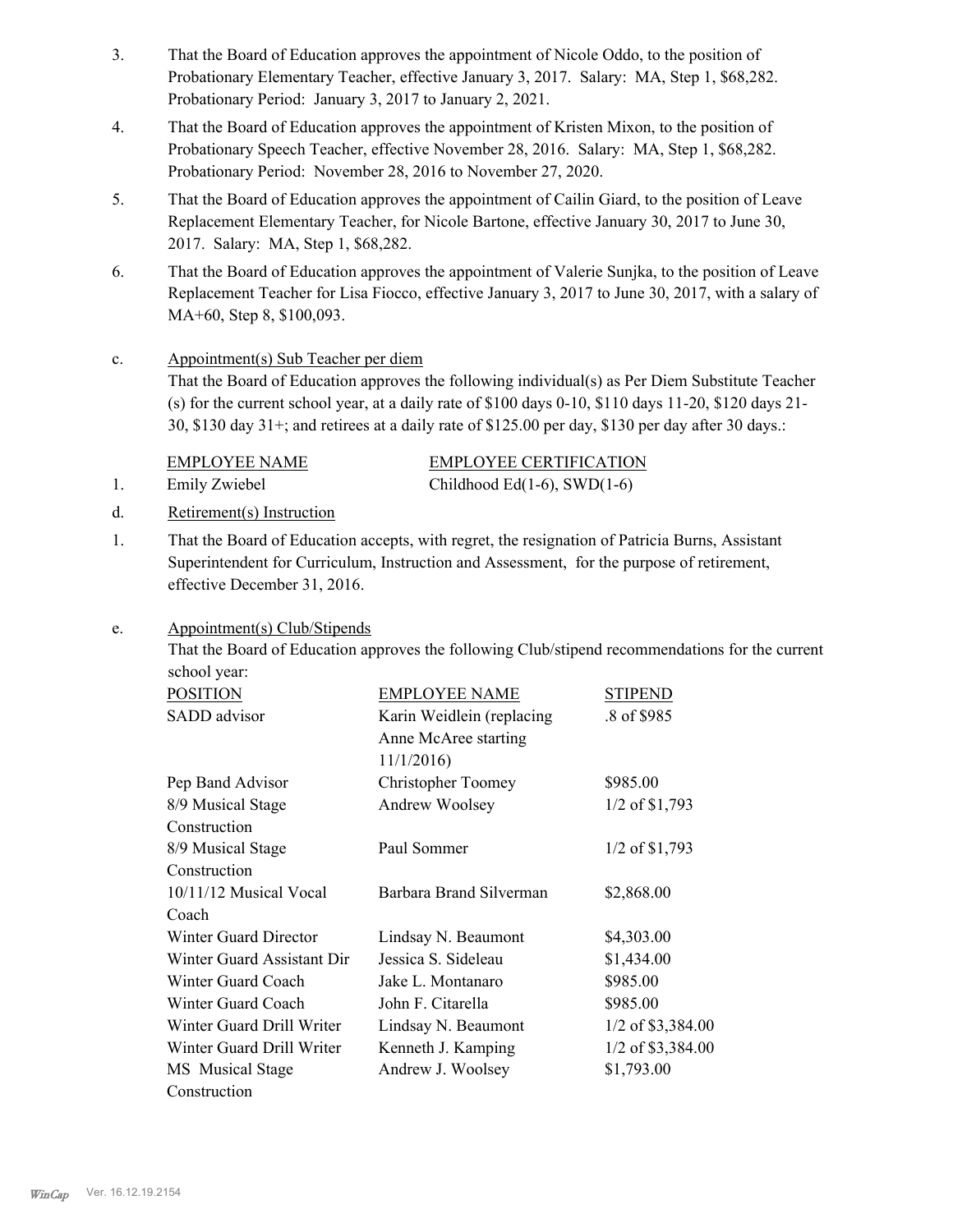- That the Board of Education approves the appointment of Nicole Oddo, to the position of Probationary Elementary Teacher, effective January 3, 2017. Salary: MA, Step 1, \$68,282. Probationary Period: January 3, 2017 to January 2, 2021. 3.
- That the Board of Education approves the appointment of Kristen Mixon, to the position of Probationary Speech Teacher, effective November 28, 2016. Salary: MA, Step 1, \$68,282. Probationary Period: November 28, 2016 to November 27, 2020. 4.
- That the Board of Education approves the appointment of Cailin Giard, to the position of Leave Replacement Elementary Teacher, for Nicole Bartone, effective January 30, 2017 to June 30, 2017. Salary: MA, Step 1, \$68,282. 5.
- That the Board of Education approves the appointment of Valerie Sunjka, to the position of Leave Replacement Teacher for Lisa Fiocco, effective January 3, 2017 to June 30, 2017, with a salary of MA+60, Step 8, \$100,093. 6.
- Appointment(s) Sub Teacher per diem That the Board of Education approves the following individual(s) as Per Diem Substitute Teacher (s) for the current school year, at a daily rate of \$100 days 0-10, \$110 days 11-20, \$120 days 21- 30, \$130 day 31+; and retirees at a daily rate of \$125.00 per day, \$130 per day after 30 days.: c.

EMPLOYEE NAME EMPLOYEE CERTIFICATION 1. Emily Zwiebel Childhood Ed(1-6), SWD(1-6)

- d. Retirement(s) Instruction
- That the Board of Education accepts, with regret, the resignation of Patricia Burns, Assistant Superintendent for Curriculum, Instruction and Assessment, for the purpose of retirement, effective December 31, 2016. 1.
- Appointment(s) Club/Stipends e.

That the Board of Education approves the following Club/stipend recommendations for the current school year:

| <b>POSITION</b>            | <b>EMPLOYEE NAME</b>      | STIPEND             |
|----------------------------|---------------------------|---------------------|
| SADD advisor               | Karin Weidlein (replacing | .8 of \$985         |
|                            | Anne McAree starting      |                     |
|                            | 11/1/2016                 |                     |
| Pep Band Advisor           | <b>Christopher Toomey</b> | \$985.00            |
| 8/9 Musical Stage          | Andrew Woolsey            | $1/2$ of \$1,793    |
| Construction               |                           |                     |
| 8/9 Musical Stage          | Paul Sommer               | $1/2$ of \$1,793    |
| Construction               |                           |                     |
| $10/11/12$ Musical Vocal   | Barbara Brand Silverman   | \$2,868.00          |
| Coach                      |                           |                     |
| Winter Guard Director      | Lindsay N. Beaumont       | \$4,303.00          |
| Winter Guard Assistant Dir | Jessica S. Sideleau       | \$1,434.00          |
| Winter Guard Coach         | Jake L. Montanaro         | \$985.00            |
| Winter Guard Coach         | John F. Citarella         | \$985.00            |
| Winter Guard Drill Writer  | Lindsay N. Beaumont       | $1/2$ of \$3,384.00 |
| Winter Guard Drill Writer  | Kenneth J. Kamping        | $1/2$ of \$3,384.00 |
| MS Musical Stage           | Andrew J. Woolsey         | \$1,793.00          |
| Construction               |                           |                     |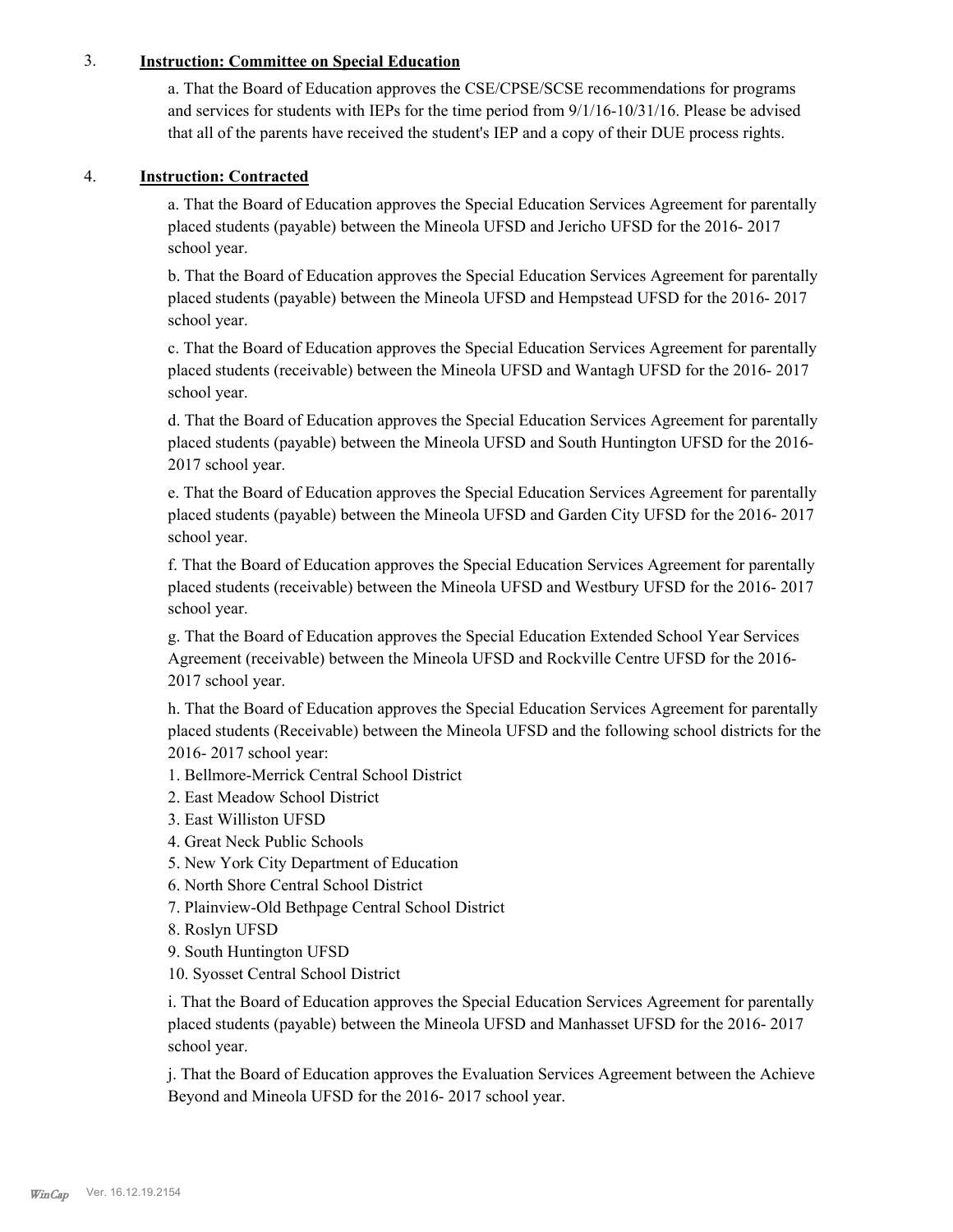## 3. **Instruction: Committee on Special Education**

a. That the Board of Education approves the CSE/CPSE/SCSE recommendations for programs and services for students with IEPs for the time period from 9/1/16-10/31/16. Please be advised that all of the parents have received the student's IEP and a copy of their DUE process rights.

# 4. **Instruction: Contracted**

a. That the Board of Education approves the Special Education Services Agreement for parentally placed students (payable) between the Mineola UFSD and Jericho UFSD for the 2016- 2017 school year.

b. That the Board of Education approves the Special Education Services Agreement for parentally placed students (payable) between the Mineola UFSD and Hempstead UFSD for the 2016- 2017 school year.

c. That the Board of Education approves the Special Education Services Agreement for parentally placed students (receivable) between the Mineola UFSD and Wantagh UFSD for the 2016- 2017 school year.

d. That the Board of Education approves the Special Education Services Agreement for parentally placed students (payable) between the Mineola UFSD and South Huntington UFSD for the 2016- 2017 school year.

e. That the Board of Education approves the Special Education Services Agreement for parentally placed students (payable) between the Mineola UFSD and Garden City UFSD for the 2016- 2017 school year.

f. That the Board of Education approves the Special Education Services Agreement for parentally placed students (receivable) between the Mineola UFSD and Westbury UFSD for the 2016- 2017 school year.

g. That the Board of Education approves the Special Education Extended School Year Services Agreement (receivable) between the Mineola UFSD and Rockville Centre UFSD for the 2016- 2017 school year.

h. That the Board of Education approves the Special Education Services Agreement for parentally placed students (Receivable) between the Mineola UFSD and the following school districts for the 2016- 2017 school year:

- 1. Bellmore-Merrick Central School District
- 2. East Meadow School District
- 3. East Williston UFSD
- 4. Great Neck Public Schools
- 5. New York City Department of Education
- 6. North Shore Central School District
- 7. Plainview-Old Bethpage Central School District
- 8. Roslyn UFSD
- 9. South Huntington UFSD
- 10. Syosset Central School District

i. That the Board of Education approves the Special Education Services Agreement for parentally placed students (payable) between the Mineola UFSD and Manhasset UFSD for the 2016- 2017 school year.

j. That the Board of Education approves the Evaluation Services Agreement between the Achieve Beyond and Mineola UFSD for the 2016- 2017 school year.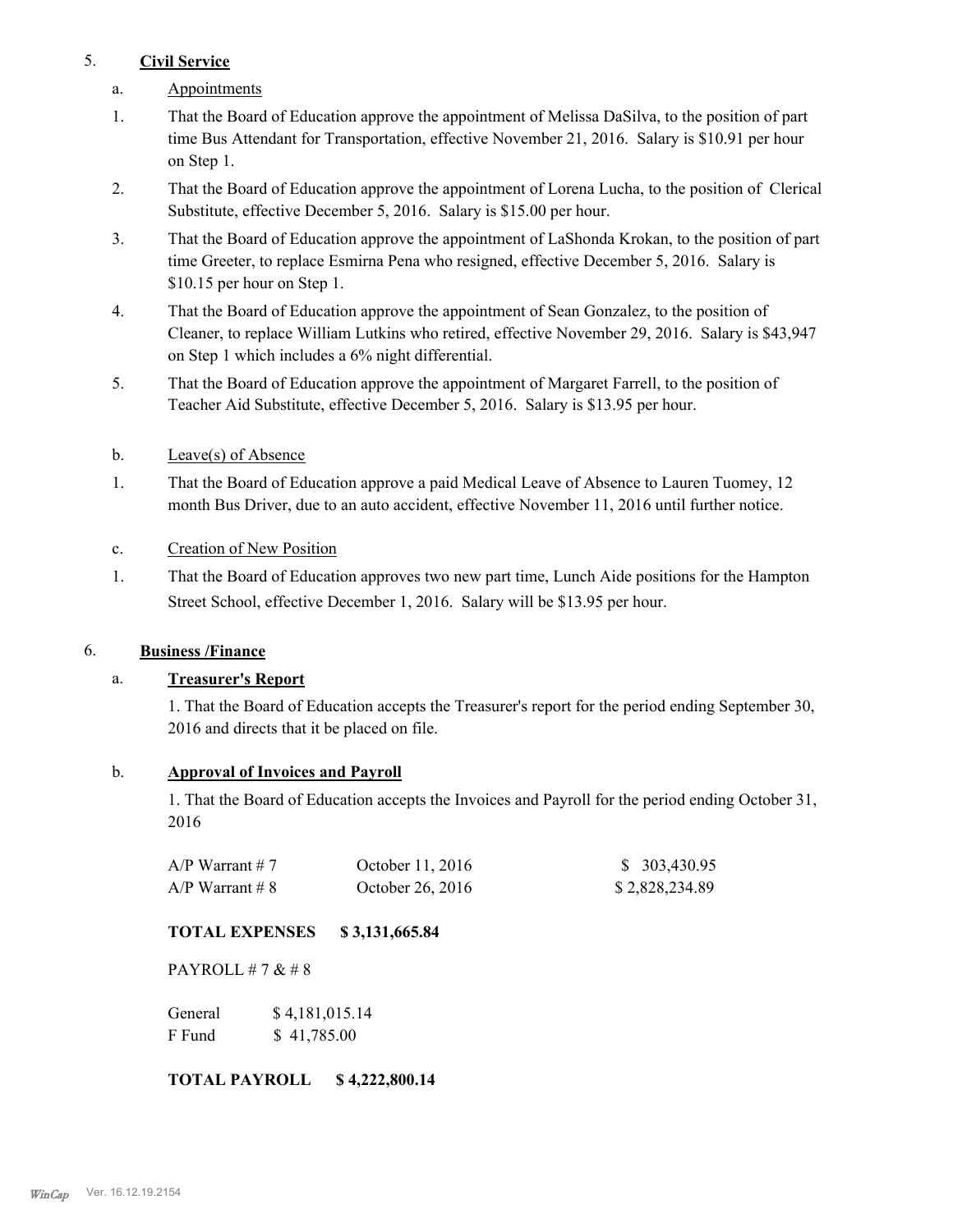# 5. **Civil Service**

- a. Appointments
- That the Board of Education approve the appointment of Melissa DaSilva, to the position of part time Bus Attendant for Transportation, effective November 21, 2016. Salary is \$10.91 per hour on Step 1. 1.
- That the Board of Education approve the appointment of Lorena Lucha, to the position of Clerical Substitute, effective December 5, 2016. Salary is \$15.00 per hour. 2.
- That the Board of Education approve the appointment of LaShonda Krokan, to the position of part time Greeter, to replace Esmirna Pena who resigned, effective December 5, 2016. Salary is \$10.15 per hour on Step 1. 3.
- That the Board of Education approve the appointment of Sean Gonzalez, to the position of Cleaner, to replace William Lutkins who retired, effective November 29, 2016. Salary is \$43,947 on Step 1 which includes a 6% night differential. 4.
- That the Board of Education approve the appointment of Margaret Farrell, to the position of Teacher Aid Substitute, effective December 5, 2016. Salary is \$13.95 per hour. 5.
- b. Leave(s) of Absence
- That the Board of Education approve a paid Medical Leave of Absence to Lauren Tuomey, 12 month Bus Driver, due to an auto accident, effective November 11, 2016 until further notice. 1.
- c. Creation of New Position
- That the Board of Education approves two new part time, Lunch Aide positions for the Hampton Street School, effective December 1, 2016. Salary will be \$13.95 per hour. 1.

# 6. **Business /Finance**

# a. **Treasurer's Report**

1. That the Board of Education accepts the Treasurer's report for the period ending September 30, 2016 and directs that it be placed on file.

# b. **Approval of Invoices and Payroll**

1. That the Board of Education accepts the Invoices and Payroll for the period ending October 31, 2016

| A/P Warrant # 7 | October 11, 2016 | \$ 303,430.95  |
|-----------------|------------------|----------------|
| A/P Warrant # 8 | October 26, 2016 | \$2,828,234.89 |

# **TOTAL EXPENSES \$ 3,131,665.84**

PAYROLL # 7 & # 8

General \$4,181,015.14 F Fund \$ 41,785.00

**TOTAL PAYROLL \$ 4,222,800.14**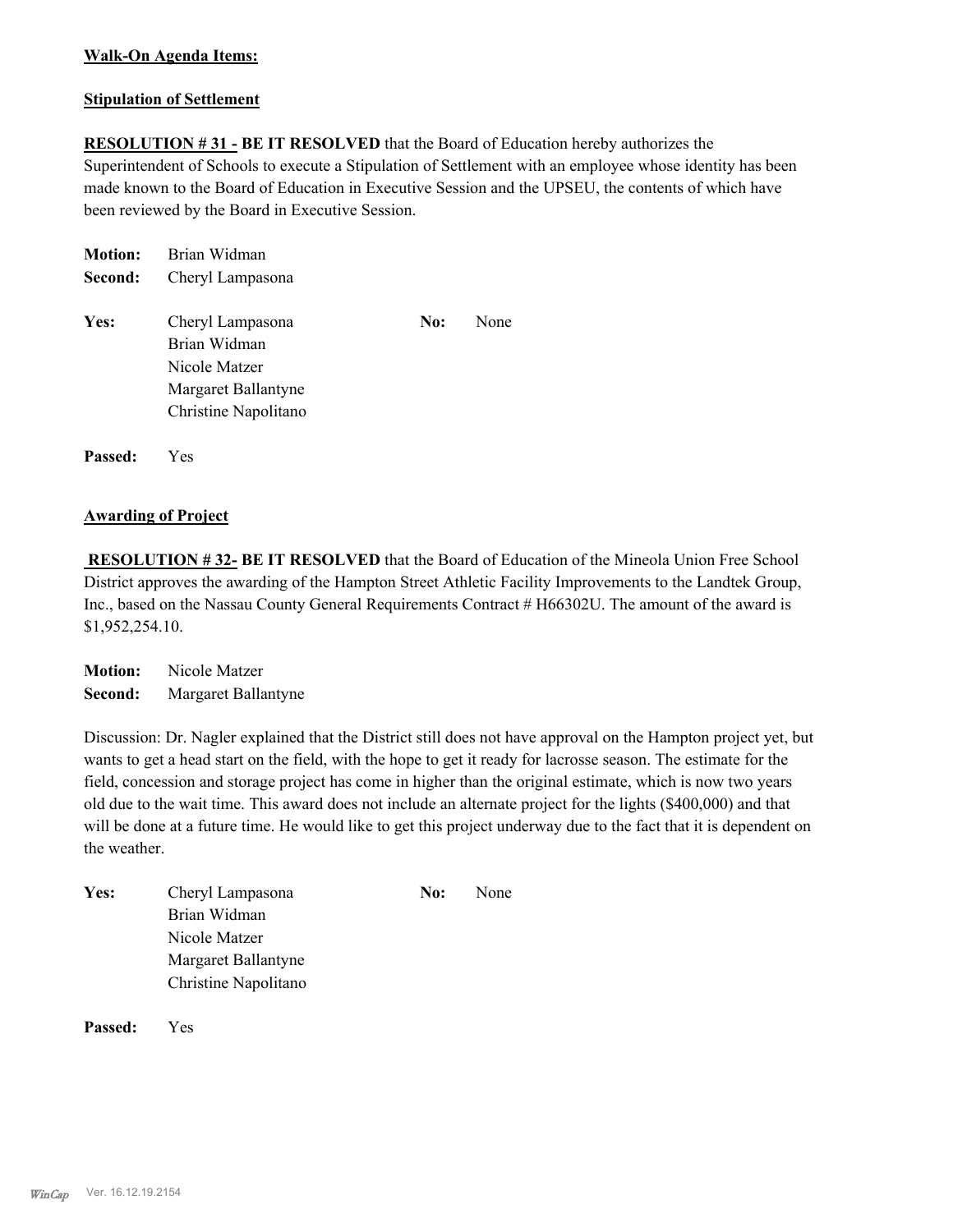# **Walk-On Agenda Items:**

#### **Stipulation of Settlement**

**RESOLUTION # 31 - BE IT RESOLVED** that the Board of Education hereby authorizes the Superintendent of Schools to execute a Stipulation of Settlement with an employee whose identity has been made known to the Board of Education in Executive Session and the UPSEU, the contents of which have been reviewed by the Board in Executive Session.

| <b>Motion:</b> | Brian Widman                     |     |      |
|----------------|----------------------------------|-----|------|
| Second:        | Cheryl Lampasona                 |     |      |
| Yes:           | Cheryl Lampasona<br>Brian Widman | No: | None |
|                | Nicole Matzer                    |     |      |
|                | Margaret Ballantyne              |     |      |
|                | Christine Napolitano             |     |      |
| Passed:        | Yes                              |     |      |

#### **Awarding of Project**

 **RESOLUTION # 32- BE IT RESOLVED** that the Board of Education of the Mineola Union Free School District approves the awarding of the Hampton Street Athletic Facility Improvements to the Landtek Group, Inc., based on the Nassau County General Requirements Contract # H66302U. The amount of the award is \$1,952,254.10.

**Motion:** Nicole Matzer **Second:** Margaret Ballantyne

Discussion: Dr. Nagler explained that the District still does not have approval on the Hampton project yet, but wants to get a head start on the field, with the hope to get it ready for lacrosse season. The estimate for the field, concession and storage project has come in higher than the original estimate, which is now two years old due to the wait time. This award does not include an alternate project for the lights (\$400,000) and that will be done at a future time. He would like to get this project underway due to the fact that it is dependent on the weather.

| Yes: | Cheryl Lampasona     | No: | None |
|------|----------------------|-----|------|
|      | Brian Widman         |     |      |
|      | Nicole Matzer        |     |      |
|      | Margaret Ballantyne  |     |      |
|      | Christine Napolitano |     |      |
|      |                      |     |      |

**Passed:** Yes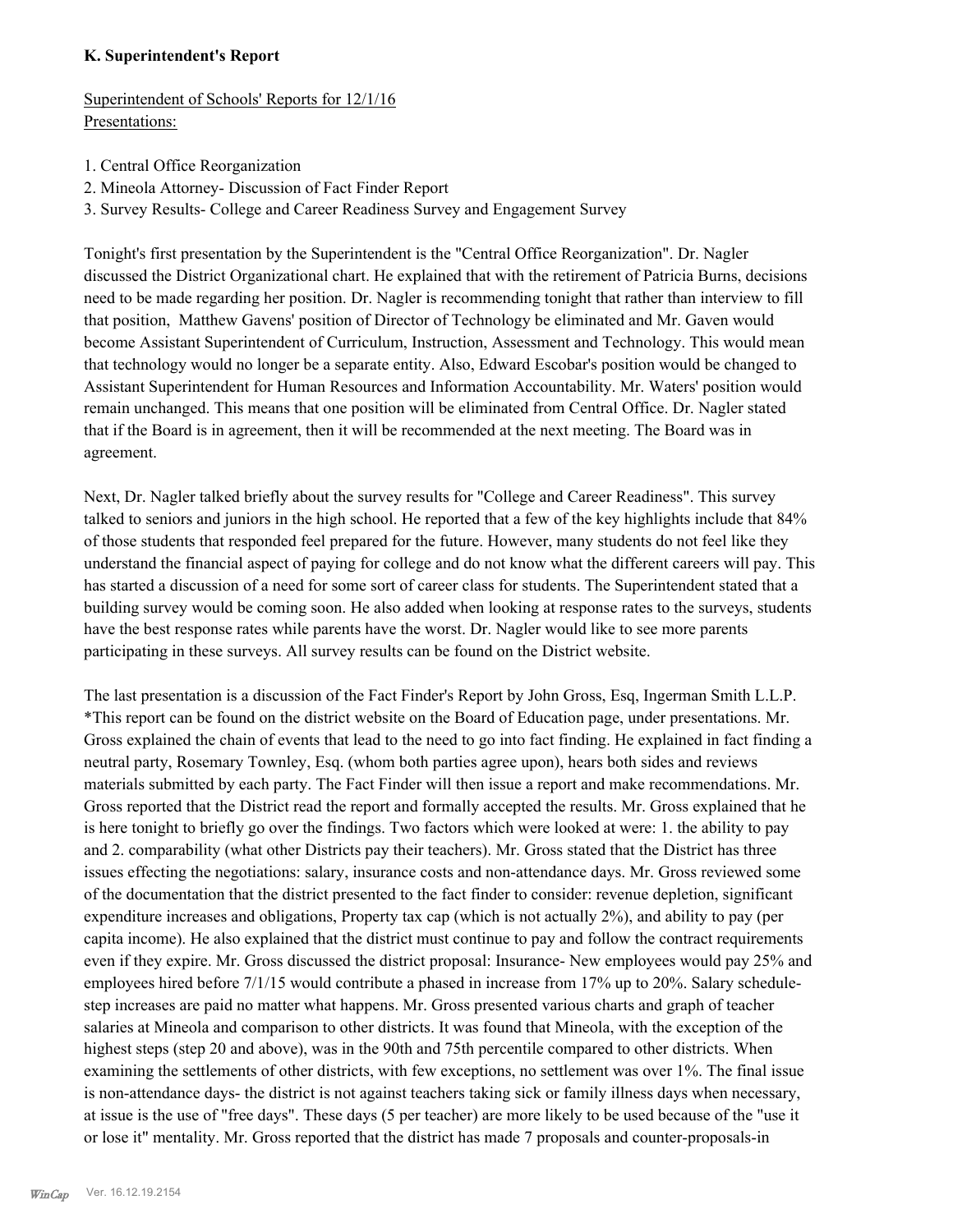# **K. Superintendent's Report**

Superintendent of Schools' Reports for 12/1/16 Presentations:

- 1. Central Office Reorganization
- 2. Mineola Attorney- Discussion of Fact Finder Report
- 3. Survey Results- College and Career Readiness Survey and Engagement Survey

Tonight's first presentation by the Superintendent is the "Central Office Reorganization". Dr. Nagler discussed the District Organizational chart. He explained that with the retirement of Patricia Burns, decisions need to be made regarding her position. Dr. Nagler is recommending tonight that rather than interview to fill that position, Matthew Gavens' position of Director of Technology be eliminated and Mr. Gaven would become Assistant Superintendent of Curriculum, Instruction, Assessment and Technology. This would mean that technology would no longer be a separate entity. Also, Edward Escobar's position would be changed to Assistant Superintendent for Human Resources and Information Accountability. Mr. Waters' position would remain unchanged. This means that one position will be eliminated from Central Office. Dr. Nagler stated that if the Board is in agreement, then it will be recommended at the next meeting. The Board was in agreement.

Next, Dr. Nagler talked briefly about the survey results for "College and Career Readiness". This survey talked to seniors and juniors in the high school. He reported that a few of the key highlights include that 84% of those students that responded feel prepared for the future. However, many students do not feel like they understand the financial aspect of paying for college and do not know what the different careers will pay. This has started a discussion of a need for some sort of career class for students. The Superintendent stated that a building survey would be coming soon. He also added when looking at response rates to the surveys, students have the best response rates while parents have the worst. Dr. Nagler would like to see more parents participating in these surveys. All survey results can be found on the District website.

The last presentation is a discussion of the Fact Finder's Report by John Gross, Esq, Ingerman Smith L.L.P. \*This report can be found on the district website on the Board of Education page, under presentations. Mr. Gross explained the chain of events that lead to the need to go into fact finding. He explained in fact finding a neutral party, Rosemary Townley, Esq. (whom both parties agree upon), hears both sides and reviews materials submitted by each party. The Fact Finder will then issue a report and make recommendations. Mr. Gross reported that the District read the report and formally accepted the results. Mr. Gross explained that he is here tonight to briefly go over the findings. Two factors which were looked at were: 1. the ability to pay and 2. comparability (what other Districts pay their teachers). Mr. Gross stated that the District has three issues effecting the negotiations: salary, insurance costs and non-attendance days. Mr. Gross reviewed some of the documentation that the district presented to the fact finder to consider: revenue depletion, significant expenditure increases and obligations, Property tax cap (which is not actually 2%), and ability to pay (per capita income). He also explained that the district must continue to pay and follow the contract requirements even if they expire. Mr. Gross discussed the district proposal: Insurance- New employees would pay 25% and employees hired before 7/1/15 would contribute a phased in increase from 17% up to 20%. Salary schedulestep increases are paid no matter what happens. Mr. Gross presented various charts and graph of teacher salaries at Mineola and comparison to other districts. It was found that Mineola, with the exception of the highest steps (step 20 and above), was in the 90th and 75th percentile compared to other districts. When examining the settlements of other districts, with few exceptions, no settlement was over 1%. The final issue is non-attendance days- the district is not against teachers taking sick or family illness days when necessary, at issue is the use of "free days". These days (5 per teacher) are more likely to be used because of the "use it or lose it" mentality. Mr. Gross reported that the district has made 7 proposals and counter-proposals-in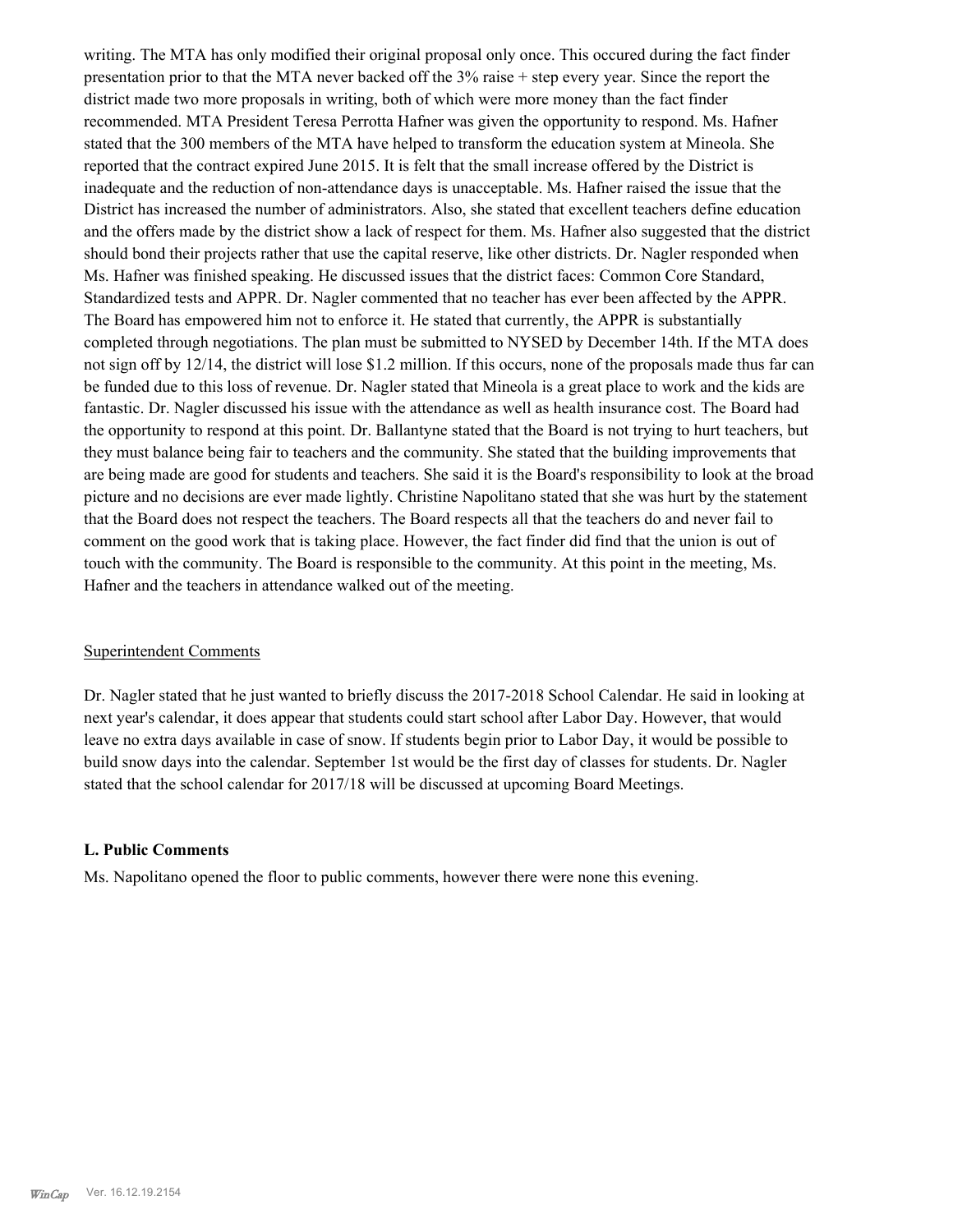writing. The MTA has only modified their original proposal only once. This occured during the fact finder presentation prior to that the MTA never backed off the 3% raise + step every year. Since the report the district made two more proposals in writing, both of which were more money than the fact finder recommended. MTA President Teresa Perrotta Hafner was given the opportunity to respond. Ms. Hafner stated that the 300 members of the MTA have helped to transform the education system at Mineola. She reported that the contract expired June 2015. It is felt that the small increase offered by the District is inadequate and the reduction of non-attendance days is unacceptable. Ms. Hafner raised the issue that the District has increased the number of administrators. Also, she stated that excellent teachers define education and the offers made by the district show a lack of respect for them. Ms. Hafner also suggested that the district should bond their projects rather that use the capital reserve, like other districts. Dr. Nagler responded when Ms. Hafner was finished speaking. He discussed issues that the district faces: Common Core Standard, Standardized tests and APPR. Dr. Nagler commented that no teacher has ever been affected by the APPR. The Board has empowered him not to enforce it. He stated that currently, the APPR is substantially completed through negotiations. The plan must be submitted to NYSED by December 14th. If the MTA does not sign off by 12/14, the district will lose \$1.2 million. If this occurs, none of the proposals made thus far can be funded due to this loss of revenue. Dr. Nagler stated that Mineola is a great place to work and the kids are fantastic. Dr. Nagler discussed his issue with the attendance as well as health insurance cost. The Board had the opportunity to respond at this point. Dr. Ballantyne stated that the Board is not trying to hurt teachers, but they must balance being fair to teachers and the community. She stated that the building improvements that are being made are good for students and teachers. She said it is the Board's responsibility to look at the broad picture and no decisions are ever made lightly. Christine Napolitano stated that she was hurt by the statement that the Board does not respect the teachers. The Board respects all that the teachers do and never fail to comment on the good work that is taking place. However, the fact finder did find that the union is out of touch with the community. The Board is responsible to the community. At this point in the meeting, Ms. Hafner and the teachers in attendance walked out of the meeting.

#### Superintendent Comments

Dr. Nagler stated that he just wanted to briefly discuss the 2017-2018 School Calendar. He said in looking at next year's calendar, it does appear that students could start school after Labor Day. However, that would leave no extra days available in case of snow. If students begin prior to Labor Day, it would be possible to build snow days into the calendar. September 1st would be the first day of classes for students. Dr. Nagler stated that the school calendar for 2017/18 will be discussed at upcoming Board Meetings.

#### **L. Public Comments**

Ms. Napolitano opened the floor to public comments, however there were none this evening.